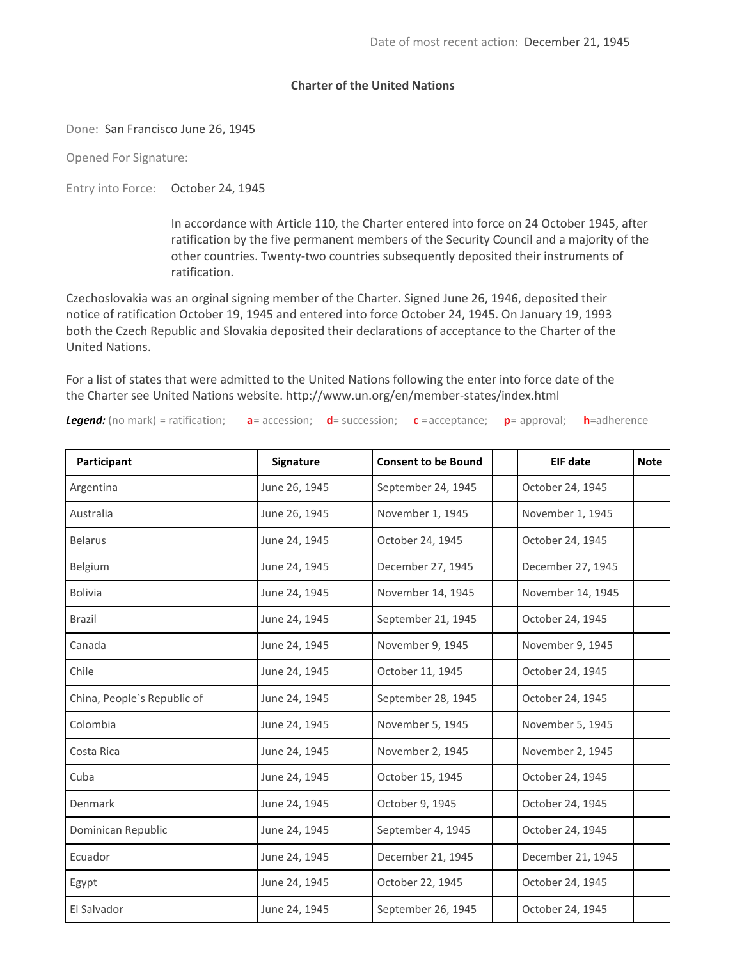## **Charter of the United Nations**

Done: San Francisco June 26, 1945

Opened For Signature:

Entry into Force: October 24, 1945

In accordance with Article 110, the Charter entered into force on 24 October 1945, after ratification by the five permanent members of the Security Council and a majority of the other countries. Twenty-two countries subsequently deposited their instruments of ratification.

Czechoslovakia was an orginal signing member of the Charter. Signed June 26, 1946, deposited their notice of ratification October 19, 1945 and entered into force October 24, 1945. On January 19, 1993 both the Czech Republic and Slovakia deposited their declarations of acceptance to the Charter of the United Nations.

For a list of states that were admitted to the United Nations following the enter into force date of the the Charter see United Nations website.<http://www.un.org/en/member-states/index.html>

*Legend:* (no mark) = ratification; **a**= accession; **d**= succession; **c** = acceptance; **p**= approval; **h**=adherence

| Participant                 | Signature     | <b>Consent to be Bound</b> | <b>EIF date</b>   | <b>Note</b> |
|-----------------------------|---------------|----------------------------|-------------------|-------------|
| Argentina                   | June 26, 1945 | September 24, 1945         | October 24, 1945  |             |
| Australia                   | June 26, 1945 | November 1, 1945           | November 1, 1945  |             |
| <b>Belarus</b>              | June 24, 1945 | October 24, 1945           | October 24, 1945  |             |
| Belgium                     | June 24, 1945 | December 27, 1945          | December 27, 1945 |             |
| <b>Bolivia</b>              | June 24, 1945 | November 14, 1945          | November 14, 1945 |             |
| <b>Brazil</b>               | June 24, 1945 | September 21, 1945         | October 24, 1945  |             |
| Canada                      | June 24, 1945 | November 9, 1945           | November 9, 1945  |             |
| Chile                       | June 24, 1945 | October 11, 1945           | October 24, 1945  |             |
| China, People's Republic of | June 24, 1945 | September 28, 1945         | October 24, 1945  |             |
| Colombia                    | June 24, 1945 | November 5, 1945           | November 5, 1945  |             |
| Costa Rica                  | June 24, 1945 | November 2, 1945           | November 2, 1945  |             |
| Cuba                        | June 24, 1945 | October 15, 1945           | October 24, 1945  |             |
| Denmark                     | June 24, 1945 | October 9, 1945            | October 24, 1945  |             |
| Dominican Republic          | June 24, 1945 | September 4, 1945          | October 24, 1945  |             |
| Ecuador                     | June 24, 1945 | December 21, 1945          | December 21, 1945 |             |
| Egypt                       | June 24, 1945 | October 22, 1945           | October 24, 1945  |             |
| El Salvador                 | June 24, 1945 | September 26, 1945         | October 24, 1945  |             |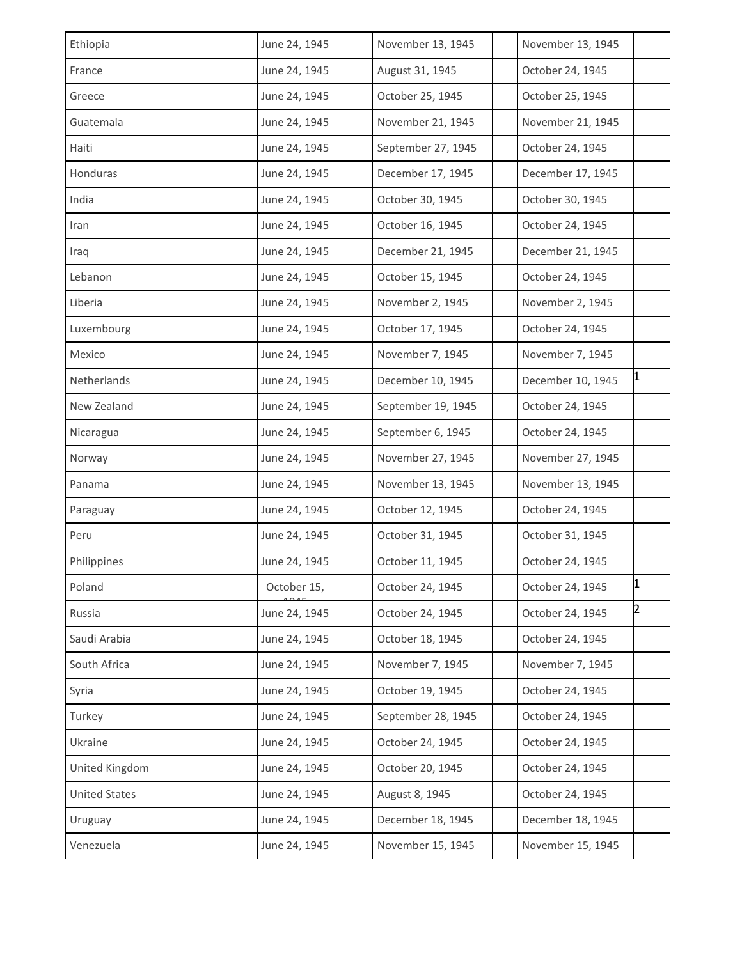| Ethiopia             | June 24, 1945 | November 13, 1945  | November 13, 1945 |                |
|----------------------|---------------|--------------------|-------------------|----------------|
| France               | June 24, 1945 | August 31, 1945    | October 24, 1945  |                |
| Greece               | June 24, 1945 | October 25, 1945   | October 25, 1945  |                |
| Guatemala            | June 24, 1945 | November 21, 1945  | November 21, 1945 |                |
| Haiti                | June 24, 1945 | September 27, 1945 | October 24, 1945  |                |
| Honduras             | June 24, 1945 | December 17, 1945  | December 17, 1945 |                |
| India                | June 24, 1945 | October 30, 1945   | October 30, 1945  |                |
| Iran                 | June 24, 1945 | October 16, 1945   | October 24, 1945  |                |
| Iraq                 | June 24, 1945 | December 21, 1945  | December 21, 1945 |                |
| Lebanon              | June 24, 1945 | October 15, 1945   | October 24, 1945  |                |
| Liberia              | June 24, 1945 | November 2, 1945   | November 2, 1945  |                |
| Luxembourg           | June 24, 1945 | October 17, 1945   | October 24, 1945  |                |
| Mexico               | June 24, 1945 | November 7, 1945   | November 7, 1945  |                |
| Netherlands          | June 24, 1945 | December 10, 1945  | December 10, 1945 | 1              |
| New Zealand          | June 24, 1945 | September 19, 1945 | October 24, 1945  |                |
| Nicaragua            | June 24, 1945 | September 6, 1945  | October 24, 1945  |                |
| Norway               | June 24, 1945 | November 27, 1945  | November 27, 1945 |                |
| Panama               | June 24, 1945 | November 13, 1945  | November 13, 1945 |                |
| Paraguay             | June 24, 1945 | October 12, 1945   | October 24, 1945  |                |
| Peru                 | June 24, 1945 | October 31, 1945   | October 31, 1945  |                |
| Philippines          | June 24, 1945 | October 11, 1945   | October 24, 1945  |                |
| Poland               | October 15,   | October 24, 1945   | October 24, 1945  | 1              |
| Russia               | June 24, 1945 | October 24, 1945   | October 24, 1945  | $\overline{2}$ |
| Saudi Arabia         | June 24, 1945 | October 18, 1945   | October 24, 1945  |                |
| South Africa         | June 24, 1945 | November 7, 1945   | November 7, 1945  |                |
| Syria                | June 24, 1945 | October 19, 1945   | October 24, 1945  |                |
| Turkey               | June 24, 1945 | September 28, 1945 | October 24, 1945  |                |
| Ukraine              | June 24, 1945 | October 24, 1945   | October 24, 1945  |                |
| United Kingdom       | June 24, 1945 | October 20, 1945   | October 24, 1945  |                |
| <b>United States</b> | June 24, 1945 | August 8, 1945     | October 24, 1945  |                |
| Uruguay              | June 24, 1945 | December 18, 1945  | December 18, 1945 |                |
| Venezuela            | June 24, 1945 | November 15, 1945  | November 15, 1945 |                |
|                      |               |                    |                   |                |